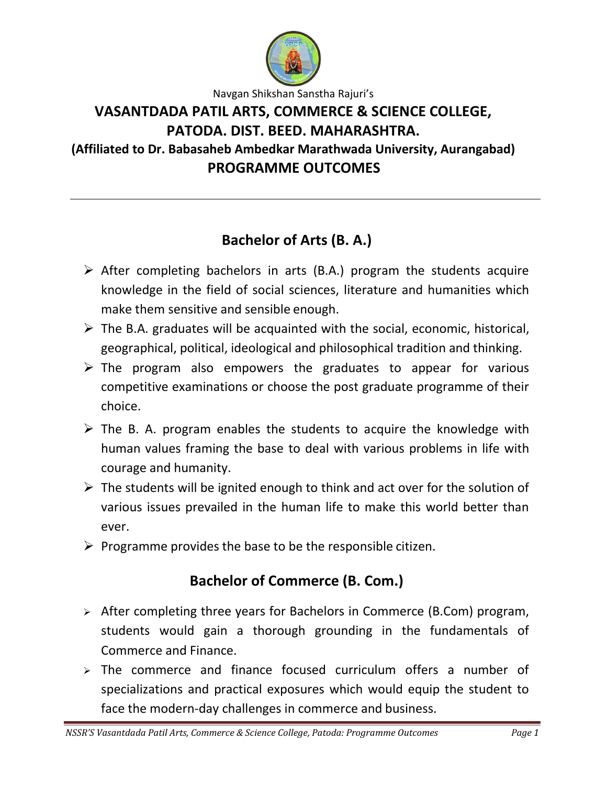

Navgan Shikshan Sanstha Rajuri's

# **VASANTDADA PATIL ARTS, COMMERCE & SCIENCE COLLEGE, PATODA. DIST. BEED. MAHARASHTRA.**

**(Affiliated to Dr. Babasaheb Ambedkar Marathwada University, Aurangabad) PROGRAMME OUTCOMES**

## **Bachelor of Arts (B. A.)**

- $\triangleright$  After completing bachelors in arts (B.A.) program the students acquire knowledge in the field of social sciences, literature and humanities which make them sensitive and sensible enough.
- $\triangleright$  The B.A. graduates will be acquainted with the social, economic, historical, geographical, political, ideological and philosophical tradition and thinking.
- $\triangleright$  The program also empowers the graduates to appear for various competitive examinations or choose the post graduate programme of their choice.
- $\triangleright$  The B. A. program enables the students to acquire the knowledge with human values framing the base to deal with various problems in life with courage and humanity.
- $\triangleright$  The students will be ignited enough to think and act over for the solution of various issues prevailed in the human life to make this world better than ever.
- $\triangleright$  Programme provides the base to be the responsible citizen.

### **Bachelor of Commerce (B. Com.)**

- $\triangleright$  After completing three years for Bachelors in Commerce (B.Com) program, students would gain a thorough grounding in the fundamentals of Commerce and Finance.
- $\geq$  The commerce and finance focused curriculum offers a number of specializations and practical exposures which would equip the student to face the modern-day challenges in commerce and business.